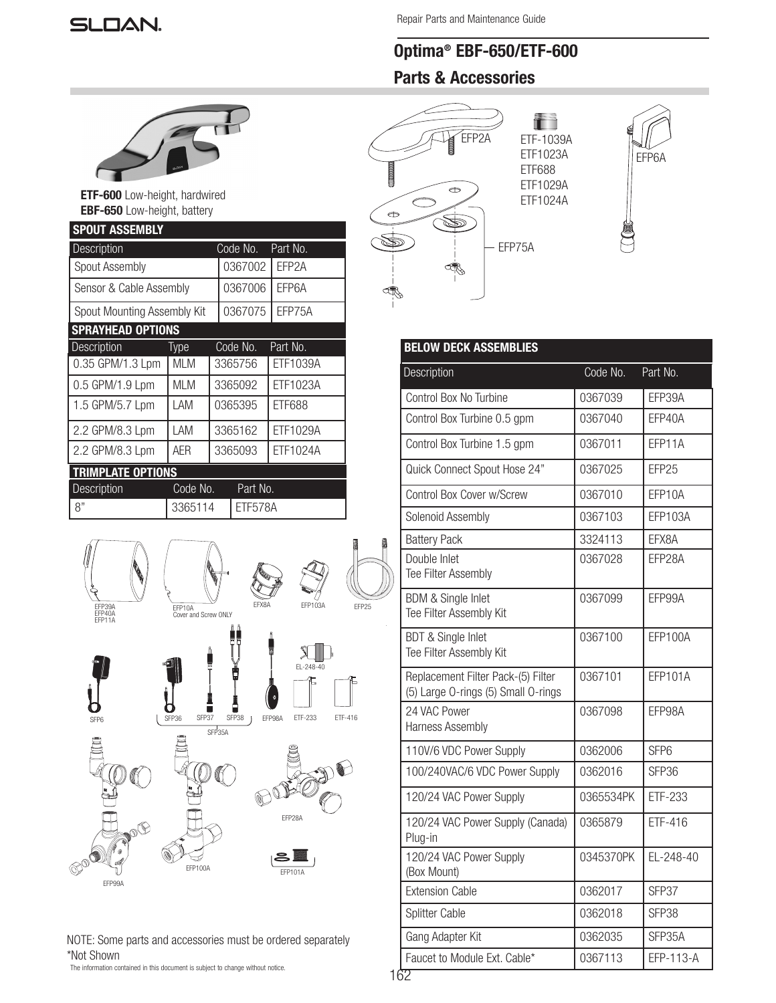# **SLOAN.**

# Optima® EBF-650/ETF-600 Parts & Accessories



ETF-600 Low-height, hardwired EBF-650 Low-height, battery

| <b>SPOUT ASSEMBLY</b>       |          |         |          |          |                    |  |  |  |
|-----------------------------|----------|---------|----------|----------|--------------------|--|--|--|
| Description                 |          |         |          | Code No. | Part No.           |  |  |  |
| <b>Spout Assembly</b>       |          |         | 0367002  |          | EFP <sub>2</sub> A |  |  |  |
| Sensor & Cable Assembly     |          |         |          | 0367006  | EFP6A              |  |  |  |
| Spout Mounting Assembly Kit |          |         |          | 0367075  | FFP75A             |  |  |  |
| <b>SPRAYHEAD OPTIONS</b>    |          |         |          |          |                    |  |  |  |
| Description                 | Type     |         | Code No. |          | Part No.           |  |  |  |
| 0.35 GPM/1.3 Lpm            | MI M     |         | 3365756  |          | ETF1039A           |  |  |  |
| 0.5 GPM/1.9 Lpm             | MI M     |         | 3365092  |          | ETF1023A           |  |  |  |
| 1.5 GPM/5.7 Lpm             | LAM      |         | 0365395  |          | ETF688             |  |  |  |
| 2.2 GPM/8.3 Lpm             | LAM      |         | 3365162  |          | ETF1029A           |  |  |  |
| 2.2 GPM/8.3 Lpm             | AFR      | 3365093 |          |          | ETF1024A           |  |  |  |
| <b>TRIMPLATE OPTIONS</b>    |          |         |          |          |                    |  |  |  |
| Description                 | Code No. |         | Part No. |          |                    |  |  |  |
| 8"                          | 3365114  |         | ETF578A  |          |                    |  |  |  |



NOTE: Some parts and accessories must be ordered separately \*Not Shown

The information contained in this document is subject to change without notice.



| <b>BELOW DECK ASSEMBLIES</b>                                              |                      |                  |  |  |  |  |  |
|---------------------------------------------------------------------------|----------------------|------------------|--|--|--|--|--|
| Description                                                               | Code No.<br>Part No. |                  |  |  |  |  |  |
| Control Box No Turbine                                                    | 0367039              | EFP39A           |  |  |  |  |  |
| Control Box Turbine 0.5 gpm                                               | 0367040              | EFP40A           |  |  |  |  |  |
| Control Box Turbine 1.5 gpm                                               | 0367011              | EFP11A           |  |  |  |  |  |
| Quick Connect Spout Hose 24"                                              | 0367025              | EFP25            |  |  |  |  |  |
| Control Box Cover w/Screw                                                 | 0367010              | EFP10A           |  |  |  |  |  |
| Solenoid Assembly                                                         | 0367103              | EFP103A          |  |  |  |  |  |
| <b>Battery Pack</b>                                                       | 3324113              | EFX8A            |  |  |  |  |  |
| Double Inlet<br>Tee Filter Assembly                                       | 0367028              | EFP28A           |  |  |  |  |  |
| <b>BDM &amp; Single Inlet</b><br>Tee Filter Assembly Kit                  | 0367099              | EFP99A           |  |  |  |  |  |
| <b>BDT &amp; Single Inlet</b><br>Tee Filter Assembly Kit                  | 0367100              | EFP100A          |  |  |  |  |  |
| Replacement Filter Pack-(5) Filter<br>(5) Large O-rings (5) Small O-rings | 0367101              | <b>EFP101A</b>   |  |  |  |  |  |
| 24 VAC Power<br><b>Harness Assembly</b>                                   | 0367098              | EFP98A           |  |  |  |  |  |
| 110V/6 VDC Power Supply                                                   | 0362006              | SFP <sub>6</sub> |  |  |  |  |  |
| 100/240VAC/6 VDC Power Supply                                             | 0362016              | SFP36            |  |  |  |  |  |
| 120/24 VAC Power Supply                                                   | 0365534PK            | ETF-233          |  |  |  |  |  |
| 120/24 VAC Power Supply (Canada)<br>Plug-in                               | 0365879              | ETF-416          |  |  |  |  |  |
| 120/24 VAC Power Supply<br>(Box Mount)                                    | 0345370PK            | EL-248-40        |  |  |  |  |  |
| <b>Extension Cable</b>                                                    | 0362017              | SFP37            |  |  |  |  |  |
| Splitter Cable                                                            | 0362018              | SFP38            |  |  |  |  |  |
| Gang Adapter Kit                                                          | 0362035              | SFP35A           |  |  |  |  |  |
| Faucet to Module Ext. Cable*                                              | 0367113              | EFP-113-A        |  |  |  |  |  |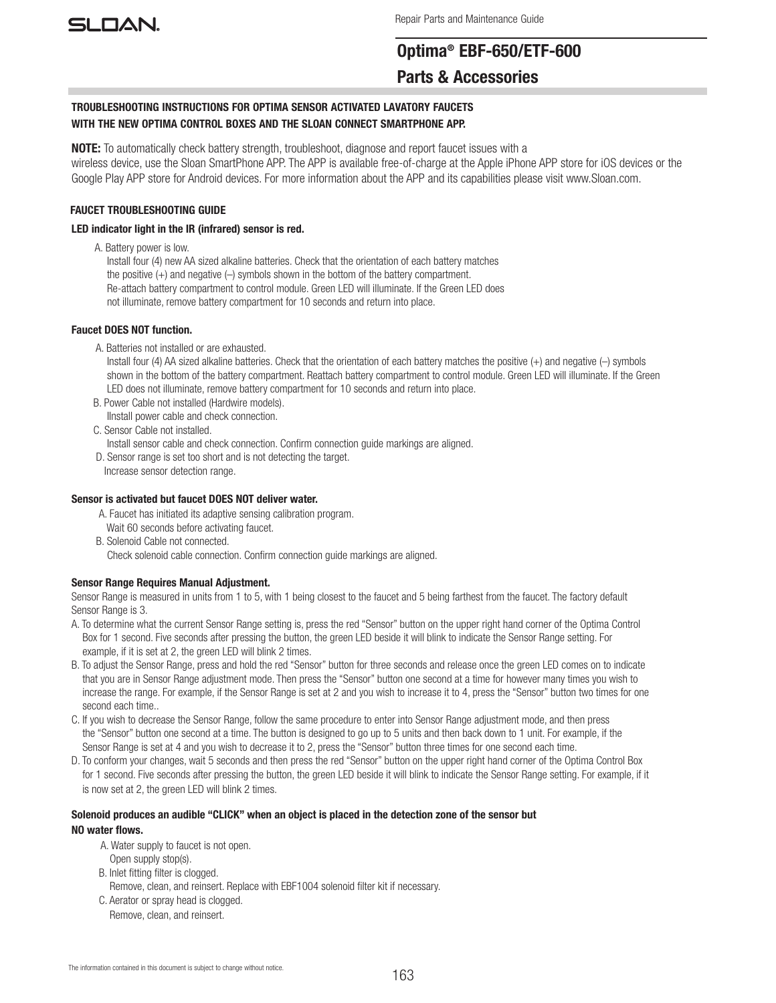

# Optima® EBF-650/ETF-600 Parts & Accessories

# TROUBLESHOOTING INSTRUCTIONS FOR OPTIMA SENSOR ACTIVATED LAVATORY FAUCETS WITH THE NEW OPTIMA CONTROL BOXES AND THE SLOAN CONNECT SMARTPHONE APP.

NOTE: To automatically check battery strength, troubleshoot, diagnose and report faucet issues with a wireless device, use the Sloan SmartPhone APP. The APP is available free-of-charge at the Apple iPhone APP store for iOS devices or the Google Play APP store for Android devices. For more information about the APP and its capabilities please visit www.Sloan.com.

# FAUCET TROUBLESHOOTING GUIDE

# LED indicator light in the IR (infrared) sensor is red.

A. Battery power is low.

 Install four (4) new AA sized alkaline batteries. Check that the orientation of each battery matches the positive (+) and negative (–) symbols shown in the bottom of the battery compartment. Re-attach battery compartment to control module. Green LED will illuminate. If the Green LED does not illuminate, remove battery compartment for 10 seconds and return into place.

# Faucet DOES NOT function.

A. Batteries not installed or are exhausted.

 Install four (4) AA sized alkaline batteries. Check that the orientation of each battery matches the positive (+) and negative (–) symbols shown in the bottom of the battery compartment. Reattach battery compartment to control module. Green LED will illuminate. If the Green LED does not illuminate, remove battery compartment for 10 seconds and return into place.

- B. Power Cable not installed (Hardwire models). IInstall power cable and check connection.
- C. Sensor Cable not installed.

Install sensor cable and check connection. Confirm connection guide markings are aligned.

- D. Sensor range is set too short and is not detecting the target.
- Increase sensor detection range.

# Sensor is activated but faucet DOES NOT deliver water.

- A. Faucet has initiated its adaptive sensing calibration program. Wait 60 seconds before activating faucet.
- B. Solenoid Cable not connected.
	- Check solenoid cable connection. Confirm connection guide markings are aligned.

# Sensor Range Requires Manual Adjustment.

Sensor Range is measured in units from 1 to 5, with 1 being closest to the faucet and 5 being farthest from the faucet. The factory default Sensor Range is 3.

- A. To determine what the current Sensor Range setting is, press the red "Sensor" button on the upper right hand corner of the Optima Control Box for 1 second. Five seconds after pressing the button, the green LED beside it will blink to indicate the Sensor Range setting. For example, if it is set at 2, the green LED will blink 2 times.
- B. To adjust the Sensor Range, press and hold the red "Sensor" button for three seconds and release once the green LED comes on to indicate that you are in Sensor Range adjustment mode. Then press the "Sensor" button one second at a time for however many times you wish to increase the range. For example, if the Sensor Range is set at 2 and you wish to increase it to 4, press the "Sensor" button two times for one second each time..
- C. If you wish to decrease the Sensor Range, follow the same procedure to enter into Sensor Range adjustment mode, and then press the "Sensor" button one second at a time. The button is designed to go up to 5 units and then back down to 1 unit. For example, if the Sensor Range is set at 4 and you wish to decrease it to 2, press the "Sensor" button three times for one second each time.
- D. To conform your changes, wait 5 seconds and then press the red "Sensor" button on the upper right hand corner of the Optima Control Box for 1 second. Five seconds after pressing the button, the green LED beside it will blink to indicate the Sensor Range setting. For example, if it is now set at 2, the green LED will blink 2 times.

# Solenoid produces an audible "CLICK" when an object is placed in the detection zone of the sensor but NO water flows.

- A. Water supply to faucet is not open.
- Open supply stop(s).
- B. Inlet fitting filter is clogged.
- Remove, clean, and reinsert. Replace with EBF1004 solenoid filter kit if necessary.
- C. Aerator or spray head is clogged.
	- Remove, clean, and reinsert.